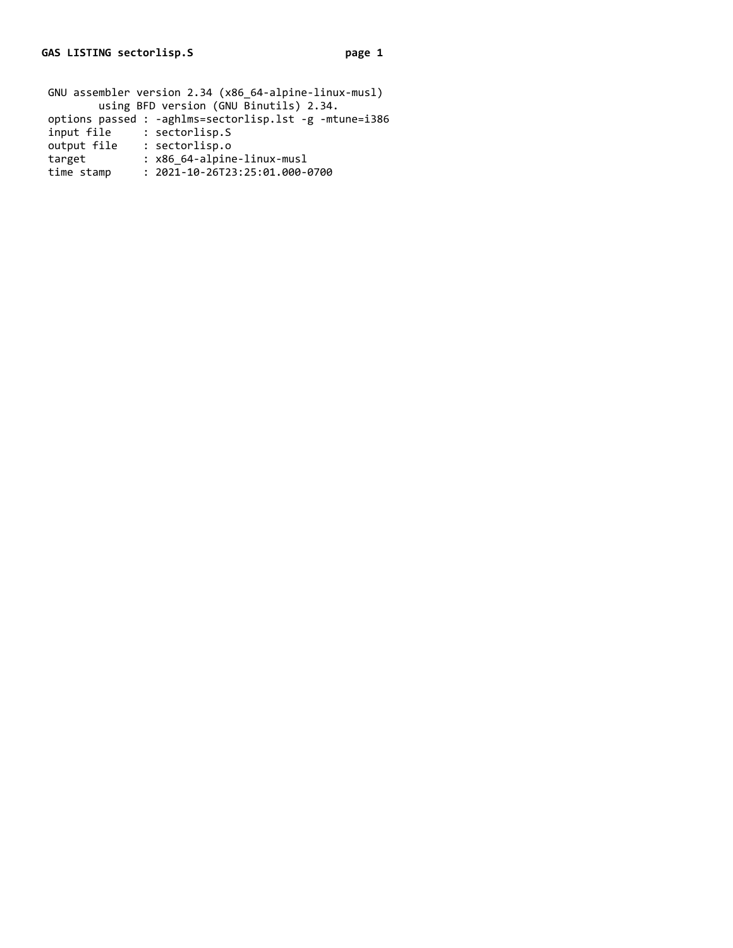| input file  | : sectorlisp.S                             |
|-------------|--------------------------------------------|
| output file | : sectorlisp.o                             |
| target      | : x86 64-alpine-linux-musl                 |
| time stamp  | $: 2021 - 10 - 26723 : 25 : 01.000 - 0700$ |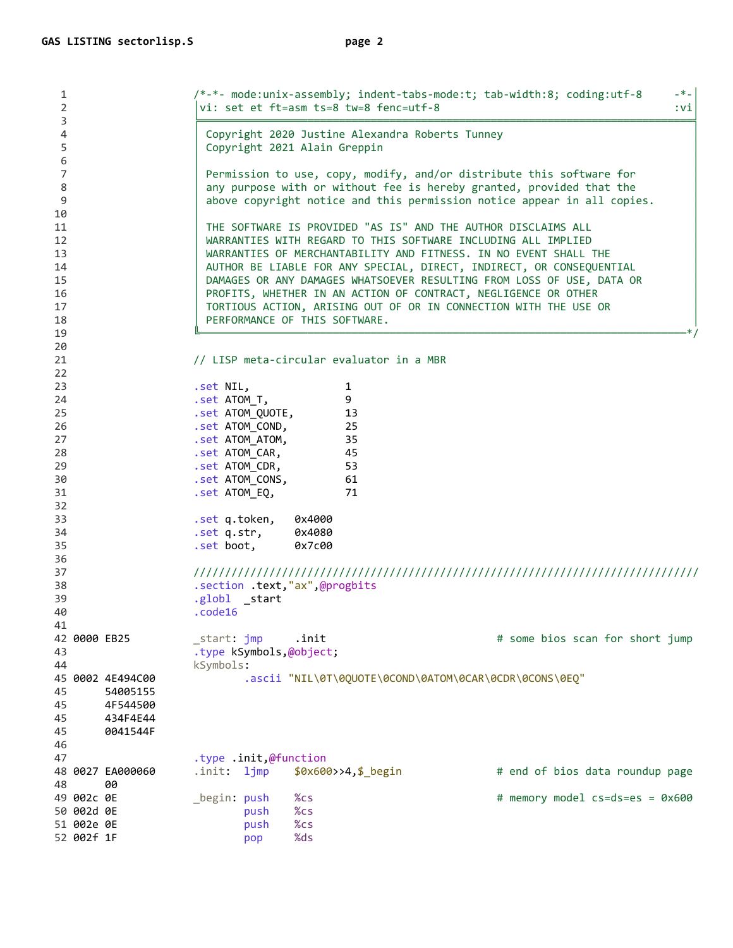| 1<br>$\overline{2}$              | $- * -$<br>/*-*- mode:unix-assembly; indent-tabs-mode:t; tab-width:8; coding:utf-8<br>vi: set et ft=asm ts=8 tw=8 fenc=utf-8<br>$:$ vi                                                                                  |         |  |  |  |  |
|----------------------------------|-------------------------------------------------------------------------------------------------------------------------------------------------------------------------------------------------------------------------|---------|--|--|--|--|
| 3<br>4<br>5                      | Copyright 2020 Justine Alexandra Roberts Tunney<br>Copyright 2021 Alain Greppin                                                                                                                                         |         |  |  |  |  |
| 6<br>7<br>8<br>$\mathsf 9$       | Permission to use, copy, modify, and/or distribute this software for<br>any purpose with or without fee is hereby granted, provided that the<br>above copyright notice and this permission notice appear in all copies. |         |  |  |  |  |
| 10<br>11                         | THE SOFTWARE IS PROVIDED "AS IS" AND THE AUTHOR DISCLAIMS ALL                                                                                                                                                           |         |  |  |  |  |
| 12                               | WARRANTIES WITH REGARD TO THIS SOFTWARE INCLUDING ALL IMPLIED                                                                                                                                                           |         |  |  |  |  |
| 13                               | WARRANTIES OF MERCHANTABILITY AND FITNESS. IN NO EVENT SHALL THE                                                                                                                                                        |         |  |  |  |  |
| 14                               | AUTHOR BE LIABLE FOR ANY SPECIAL, DIRECT, INDIRECT, OR CONSEQUENTIAL                                                                                                                                                    |         |  |  |  |  |
| 15<br>16                         | DAMAGES OR ANY DAMAGES WHATSOEVER RESULTING FROM LOSS OF USE, DATA OR<br>PROFITS, WHETHER IN AN ACTION OF CONTRACT, NEGLIGENCE OR OTHER                                                                                 |         |  |  |  |  |
| 17                               | TORTIOUS ACTION, ARISING OUT OF OR IN CONNECTION WITH THE USE OR                                                                                                                                                        |         |  |  |  |  |
| 18                               | PERFORMANCE OF THIS SOFTWARE.                                                                                                                                                                                           |         |  |  |  |  |
| 19                               |                                                                                                                                                                                                                         | $*_{/}$ |  |  |  |  |
| 20                               |                                                                                                                                                                                                                         |         |  |  |  |  |
| 21                               | // LISP meta-circular evaluator in a MBR                                                                                                                                                                                |         |  |  |  |  |
| 22<br>23                         | .set NIL,<br>1                                                                                                                                                                                                          |         |  |  |  |  |
| 24                               | 9<br>.set ATOM_T,                                                                                                                                                                                                       |         |  |  |  |  |
| 25                               | .set ATOM_QUOTE,<br>13                                                                                                                                                                                                  |         |  |  |  |  |
| 26                               | .set ATOM_COND,<br>25                                                                                                                                                                                                   |         |  |  |  |  |
| 27                               | 35<br>.set ATOM ATOM,                                                                                                                                                                                                   |         |  |  |  |  |
| 28                               | 45<br>.set ATOM_CAR,                                                                                                                                                                                                    |         |  |  |  |  |
| 29<br>30                         | .set ATOM_CDR,<br>53<br>.set ATOM_CONS,<br>61                                                                                                                                                                           |         |  |  |  |  |
| 31                               | 71<br>.set ATOM_EQ,                                                                                                                                                                                                     |         |  |  |  |  |
| 32                               |                                                                                                                                                                                                                         |         |  |  |  |  |
| 33                               | .set q.token,<br>0x4000                                                                                                                                                                                                 |         |  |  |  |  |
| 34                               | .set q.str,<br>0x4080                                                                                                                                                                                                   |         |  |  |  |  |
| 35                               | .set boot,<br>0x7c00                                                                                                                                                                                                    |         |  |  |  |  |
| 36<br>37                         |                                                                                                                                                                                                                         |         |  |  |  |  |
| 38                               | .section .text,"ax",@progbits                                                                                                                                                                                           |         |  |  |  |  |
| 39                               | .globl _start                                                                                                                                                                                                           |         |  |  |  |  |
| 40                               | .code16                                                                                                                                                                                                                 |         |  |  |  |  |
| 41                               |                                                                                                                                                                                                                         |         |  |  |  |  |
| 42 0000 EB25<br>43               | _start: jmp<br>.init<br># some bios scan for short jump<br>.type kSymbols,@object;                                                                                                                                      |         |  |  |  |  |
| 44                               | kSymbols:                                                                                                                                                                                                               |         |  |  |  |  |
| 45 0002 4E494C00                 | .ascii "NIL\0T\0QUOTE\0COND\0ATOM\0CAR\0CDR\0CONS\0EQ"                                                                                                                                                                  |         |  |  |  |  |
| 45<br>54005155                   |                                                                                                                                                                                                                         |         |  |  |  |  |
| 45<br>4F544500                   |                                                                                                                                                                                                                         |         |  |  |  |  |
| 45<br>434F4E44<br>45<br>0041544F |                                                                                                                                                                                                                         |         |  |  |  |  |
| 46                               |                                                                                                                                                                                                                         |         |  |  |  |  |
| 47                               | type .init,@function.                                                                                                                                                                                                   |         |  |  |  |  |
| 48 0027 EA000060                 | \$0x600>>4, \$_begin<br># end of bios data roundup page<br>.init: ljmp                                                                                                                                                  |         |  |  |  |  |
| 48<br>00                         |                                                                                                                                                                                                                         |         |  |  |  |  |
| 49 002c 0E                       | _begin: push<br>$%$ cs<br># memory model cs=ds=es = 0x600                                                                                                                                                               |         |  |  |  |  |
| 50 002d 0E<br>51 002e 0E         | %cs<br>push<br>%cs<br>push                                                                                                                                                                                              |         |  |  |  |  |
| 52 002f 1F                       | %ds<br>pop                                                                                                                                                                                                              |         |  |  |  |  |
|                                  |                                                                                                                                                                                                                         |         |  |  |  |  |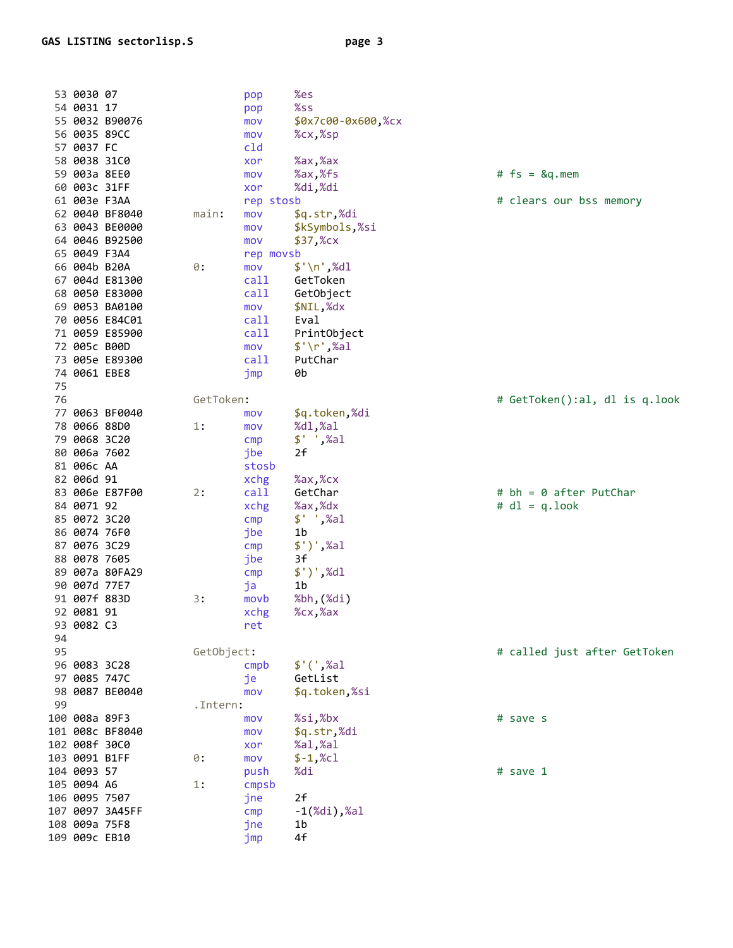|    | 53 0030 07    |                 |            | pop       | %es                     |                               |
|----|---------------|-----------------|------------|-----------|-------------------------|-------------------------------|
|    | 54 0031 17    |                 |            | pop       | %ss                     |                               |
|    |               | 55 0032 B90076  |            | mov       | \$0x7c00-0x600,%cx      |                               |
|    | 56 0035 89CC  |                 |            | mov       | %cx,%sp                 |                               |
|    | 57 0037 FC    |                 |            | cld       |                         |                               |
|    | 58 0038 31C0  |                 |            | xor       | %ax,%ax                 |                               |
|    | 59 003a 8EE0  |                 |            | mov       | %ax,%fs                 | $#$ fs = $\&q$ .mem           |
|    | 60 003c 31FF  |                 |            | xor       | %di,%di                 |                               |
|    | 61 003e F3AA  |                 |            | rep stosb |                         | # clears our bss memory       |
|    |               | 62 0040 BF8040  | main:      | mov       | \$q.str,%di             |                               |
|    |               | 63 0043 BE0000  |            | mov       | \$kSymbols,%si          |                               |
|    |               | 64 0046 B92500  |            | mov       | $$37,$ %cx              |                               |
|    | 65 0049 F3A4  |                 |            | rep movsb |                         |                               |
|    | 66 004b B20A  |                 | $\theta$ : | mov       | $\frac{1}{2}$ \n',%dl   |                               |
|    |               | 67 004d E81300  |            | call      | GetToken                |                               |
|    |               | 68 0050 E83000  |            | call      | GetObject               |                               |
|    |               | 69 0053 BA0100  |            | mov       | \$NIL,%dx               |                               |
|    |               | 70 0056 E84C01  |            | call      | Eval                    |                               |
|    |               | 71 0059 E85900  |            | call      | PrintObject             |                               |
|    | 72 005c B00D  |                 |            | mov       | $\frac{1}{2}$ '\r',%al  |                               |
|    |               | 73 005e E89300  |            | call      | PutChar                 |                               |
|    | 74 0061 EBE8  |                 |            | jmp       | 0b                      |                               |
| 75 |               |                 |            |           |                         |                               |
| 76 |               |                 | GetToken:  |           |                         | # GetToken():al, dl is q.look |
|    |               | 77 0063 BF0040  |            | mov       | \$q.token,%di           |                               |
|    | 78 0066 88D0  |                 | 1:         | mov       | %dl,%al                 |                               |
|    | 79 0068 3C20  |                 |            | cmp       | $$'$ , $%al$            |                               |
|    | 80 006a 7602  |                 |            | jbe       | 2f                      |                               |
|    | 81 006c AA    |                 |            | stosb     |                         |                               |
|    | 82 006d 91    |                 |            | xchg      | %ax,%cx                 |                               |
|    |               | 83 006e E87F00  | 2:         | call      | GetChar                 | $# bh = 0$ after PutChar      |
|    | 84 0071 92    |                 |            | xchg      | %ax,%dx                 | $# d1 = q.logk$               |
|    | 85 0072 3C20  |                 |            | cmp       | $$'$ , $%al$            |                               |
|    | 86 0074 76F0  |                 |            | jbe       | 1b                      |                               |
|    | 87 0076 3C29  |                 |            | cmp       | $$')',$ %al             |                               |
|    | 88 0078 7605  |                 |            | jbe       | 3f                      |                               |
|    |               | 89 007a 80FA29  |            | cmp       | $$')',$ %dl             |                               |
|    | 90 007d 77E7  |                 |            | ja        | 1b                      |                               |
|    | 91 007f 883D  |                 | 3:         | movb      | %bh,(%di)               |                               |
|    | 92 0081 91    |                 |            | xchg      | %cx,%ax                 |                               |
|    | 93 0082 C3    |                 |            | ret       |                         |                               |
| 94 |               |                 |            |           |                         |                               |
| 95 |               |                 | GetObject: |           |                         | # called just after GetToken  |
|    | 96 0083 3C28  |                 |            | cmpb      | $$'(',\%al)$            |                               |
|    | 97 0085 747C  |                 |            | je        | GetList                 |                               |
|    |               | 98 0087 BE0040  |            | mov       | \$q.token,%si           |                               |
| 99 |               |                 | .Intern:   |           |                         |                               |
|    | 100 008a 89F3 |                 |            | mov       | %si,%bx                 | # save s                      |
|    |               | 101 008c BF8040 |            | mov       | \$q.str,%di             |                               |
|    | 102 008f 30C0 |                 |            | xor       | %al,%al                 |                               |
|    | 103 0091 B1FF |                 | $\theta$ : | mov       | $$-1$ , %cl             |                               |
|    | 104 0093 57   |                 |            | push      | %di                     | # save 1                      |
|    | 105 0094 A6   |                 | 1:         | cmpsb     |                         |                               |
|    | 106 0095 7507 |                 |            | jne       | 2f                      |                               |
|    |               | 107 0097 3A45FF |            | cmp       | $-1$ $(\%)$ i), $\%$ al |                               |
|    | 108 009a 75F8 |                 |            | jne       | 1b                      |                               |
|    | 109 009c EB10 |                 |            | jmp       | 4f                      |                               |
|    |               |                 |            |           |                         |                               |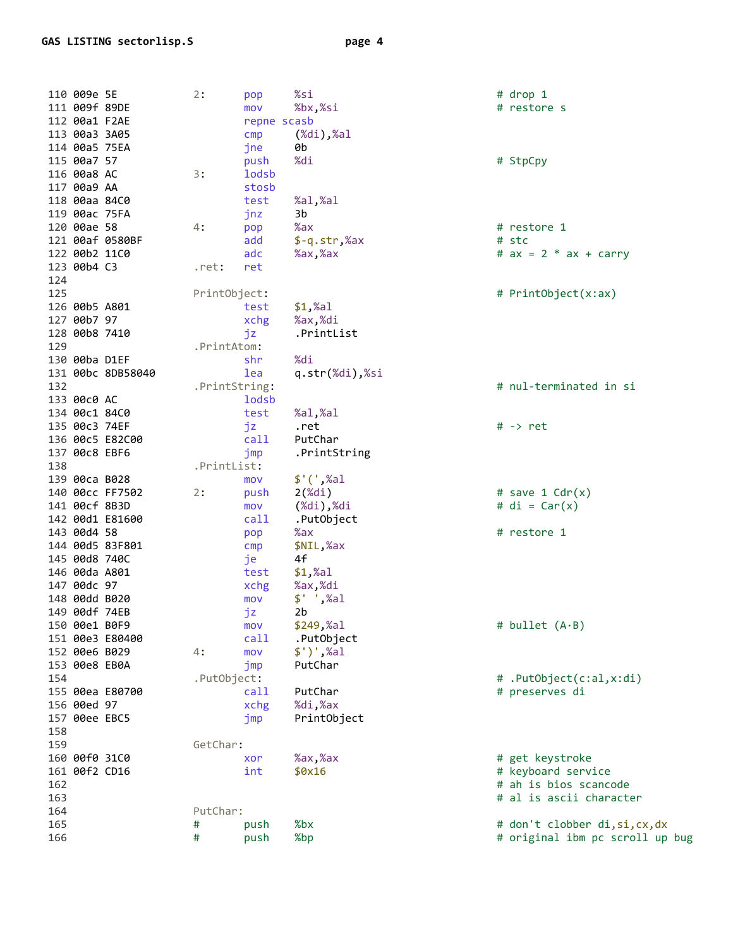110 009e 5E 2: pop 111 009f 89DE mov<br>repne scasb<br>cmp (%di<br>ah  $mov$ 112 00a1 F2AE 113 00a3 3A05 114 00a5 75EA jne 115 00a7 57 push  $3:$ 116 00a8 AC lodsb 117 00a9 AA stosh 118 00aa 84C0 test  $\frac{3}{4}$ :  $\frac{3}{4}$ 119 00ac 75FA 120 00ae 58 121 00af 0580BF add 122 00b2 11C0 adc 123 00b4 C3 .ret: ret 124 125 PrintObject: test<br>xchg<br>jz 126 00b5 A801 127 00b7 97 xchg 128 00b8 7410 .PrintAtom: 129 130 00ba D1EF  $\frac{\text{shr}}{\text{2.1}}$ 131 00bc 8DB58040 lea 132 .PrintString: 133 00c0 AC lodsb 134 00c1 84C0 test jz<br>call<br>jmp 135 00c3 74EF 136 00c5 E82C00 137 00c8 EBF6 .PrintList: 138 139 00ca B028 mov 139 00ca B028 mov<br>
140 00cc FF7502 2: push<br>
141 00cf 8B3D mov<br>
142 00d1 E81600 call<br>
143 00d4 58 pop<br>
144 00d5 83F801 emp<br>
145 00d8 740C je<br>
146 00da A801 test<br>
147 00dc 97 xchg<br>
148 00dd B020 mov<br>
149 00df 74EB<br>
150 00e1 .PutObject: 154 155 00ea E80700 call 156 00ed 97 xchg 157 00ee EBC5 jmp 158 GetChar: 159 160 00f0 31C0 **Example 2019** 161 00f2 CD16 int 162 163 164 PutChar: 165 # push  $#$ push 166

%si %bx.%si  $(% \mathbb{R}^2)$   $\mathbb{R}^2$ 0b %di %al,%al 3b  $%ax$  $$-q.str$ ,  $%ax$  $%ax,$   $%ax$ test \$1,%al %ax,%di .PrintList %di q.str(%di),%si %al.%al .ret PutChar .PrintString  $$'(',\%al)$  $2(\%di)$  $(\%di)$ , $\%di$ .PutObject  $%ax$ \$NIL,%ax  $4f$  $$1,$ %al %ax %di  $$'$  ',%al  $2b$  $$249,$ %al .PutObject  $$')',$ %al PutChar PutChar %di,%ax PrintObject %ax,%ax  $$0x16$ %bx

%bp

# StpCpy

# restore s

# drop 1

# restore 1 # stc #  $ax = 2 * ax + carry$ 

# PrintObject(x:ax)

# nul-terminated in si

 $# ->$  ret

# save 1  $Cdr(x)$  $# di = Car(x)$ # restore 1

 $\#$  bullet  $(A \cdot B)$ 

# .PutObject(c:al,x:di) # preserves di

# get keystroke # keyboard service # ah is bios scancode # al is ascii character # don't clobber di,si,cx,dx # original ibm pc scroll up bug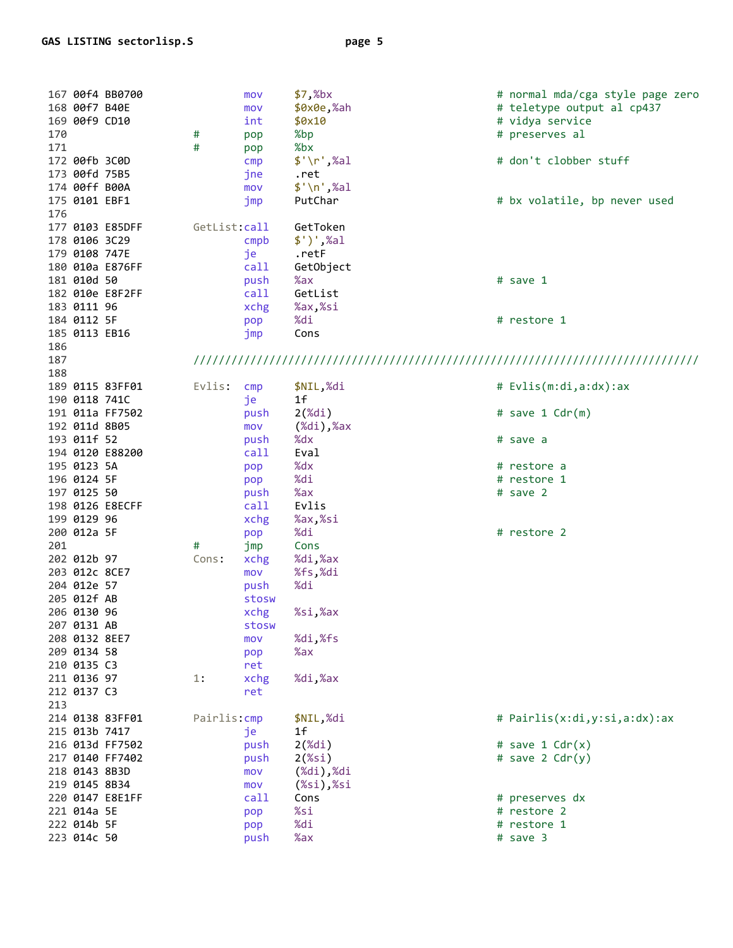| 167 00f4 BB0700<br>168 00f7 B40E<br>169 00f9 CD10<br>170<br>171<br>172 00fb 3C0D<br>173 00fd 75B5 | #<br>#       | mov<br>mov<br>int<br>pop<br>pop<br>cmp<br>jne | \$7,%bx<br>\$0x0e,%ah<br>\$0x10<br>%bp<br>%bx<br>$\frac{1}{2}$ '\r',%al<br>.ret             | # normal mda/cga style page zero<br># teletype output al cp437<br># vidya service<br># preserves al<br># don't clobber stuff |
|---------------------------------------------------------------------------------------------------|--------------|-----------------------------------------------|---------------------------------------------------------------------------------------------|------------------------------------------------------------------------------------------------------------------------------|
| 174 00ff B00A<br>175 0101 EBF1<br>176                                                             |              | mov<br>jmp                                    | $$'\n$ , %al<br>PutChar                                                                     | # bx volatile, bp never used                                                                                                 |
| 177 0103 E85DFF<br>178 0106 3C29<br>179 0108 747E                                                 | GetList:call | cmp <sub>b</sub><br>je                        | GetToken<br>$$')',$ %al<br>.retF                                                            |                                                                                                                              |
| 180 010a E876FF<br>181 010d 50<br>182 010e E8F2FF                                                 |              | call<br>push<br>call                          | GetObject<br>%ax<br>GetList                                                                 | # save 1                                                                                                                     |
| 183 0111 96<br>184 0112 5F<br>185 0113 EB16<br>186                                                |              | xchg<br>pop<br>jmp                            | %ax,%si<br>%di<br>Cons                                                                      | # restore 1                                                                                                                  |
| 187<br>188                                                                                        |              |                                               |                                                                                             |                                                                                                                              |
| 189 0115 83FF01<br>190 0118 741C                                                                  | Evlis:       | cmp<br>je                                     | \$NIL,%di<br>1f                                                                             | # Evlis(m:di,a:dx):ax                                                                                                        |
| 191 011a FF7502<br>192 011d 8B05<br>193 011f 52                                                   |              | push<br>mov<br>push                           | $2(\%di)$<br>$(\%di)$ , $\%ax$<br>%dx                                                       | # save 1 $Cdr(m)$<br># save a                                                                                                |
| 194 0120 E88200<br>195 0123 5A                                                                    |              | call<br>pop                                   | Eval<br>%dx                                                                                 | # restore a                                                                                                                  |
| 196 0124 5F<br>197 0125 50                                                                        |              | pop<br>push                                   | %di<br>%ax                                                                                  | # restore 1<br># save 2                                                                                                      |
| 198 0126 E8ECFF<br>199 0129 96<br>200 012a 5F                                                     |              | call<br>xchg<br>pop                           | Evlis<br>%ax,%si<br>%di                                                                     | # restore 2                                                                                                                  |
| 201<br>202 012b 97                                                                                | #<br>Cons:   | jmp<br>xchg                                   | Cons<br>%di,%ax<br>%fs,%di                                                                  |                                                                                                                              |
| 203 012c 8CE7<br>204 012e 57<br>205 012f AB                                                       |              | mov<br>push<br>stosw                          | %di                                                                                         |                                                                                                                              |
| 206 0130 96<br>207 0131 AB<br>208 0132 8EE7                                                       |              | xchg<br>stosw<br>mov                          | %si,%ax<br>%di,%fs                                                                          |                                                                                                                              |
| 209 0134 58<br>210 0135 C3                                                                        |              | pop<br>ret                                    | %ax                                                                                         |                                                                                                                              |
| 211 0136 97<br>212 0137 C3<br>213                                                                 | 1:           | xchg<br>ret                                   | %di,%ax                                                                                     |                                                                                                                              |
| 214 0138 83FF01<br>215 013b 7417                                                                  | Pairlis: cmp | jе                                            | \$NIL,%di<br>1f                                                                             | # Pairlis(x:di,y:si,a:dx):ax                                                                                                 |
| 216 013d FF7502<br>217 0140 FF7402<br>218 0143 8B3D<br>219 0145 8B34                              |              | push<br>push<br>mov<br>mov                    | $2$ $(\%)$ di)<br>$2$ (%si)<br>$(\%di)$ , $\%di$<br>$(% \mathcal{L}_{0})$ $\mathcal{L}_{1}$ | # save 1 $Cdr(x)$<br># save $2 \text{Cdr}(y)$                                                                                |
| 220 0147 E8E1FF                                                                                   |              | call                                          | Cons                                                                                        | # preserves dx                                                                                                               |
| 221 014a 5E<br>222 014b 5F                                                                        |              | pop<br>pop                                    | %si<br>%di                                                                                  | # restore 2<br># restore 1                                                                                                   |
| 223 014c 50                                                                                       |              | push                                          | %ax                                                                                         | # save 3                                                                                                                     |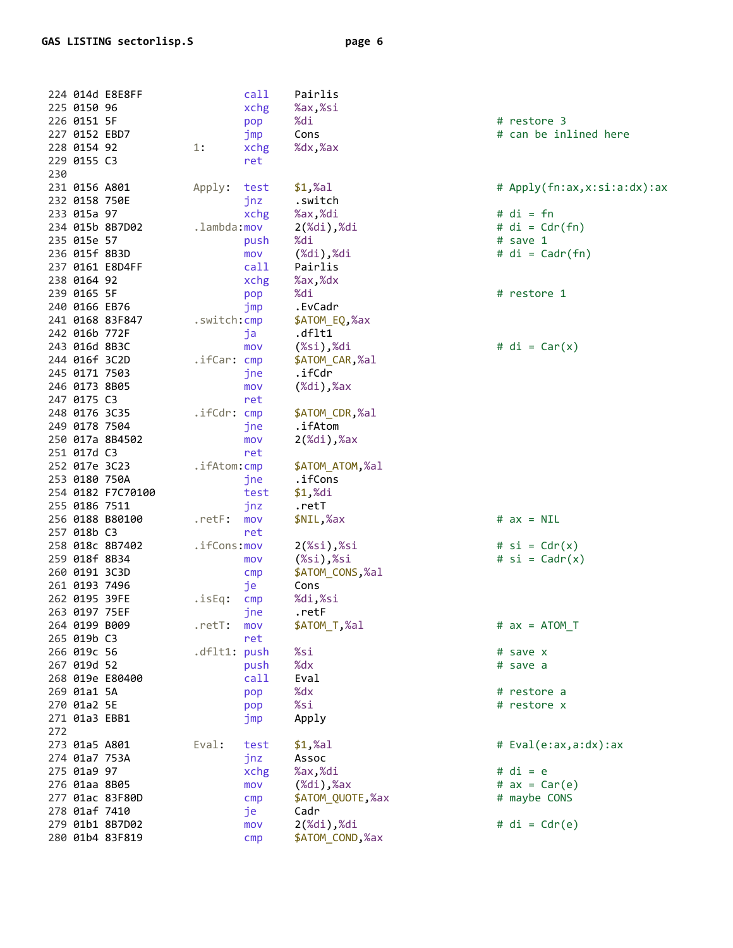| 224 014d E8E8FF |                   |                       | call           | Pairlis                                 |                             |
|-----------------|-------------------|-----------------------|----------------|-----------------------------------------|-----------------------------|
| 225 0150 96     |                   |                       | xchg           | %ax,%si                                 |                             |
| 226 0151 5F     |                   |                       | pop            | %di                                     | # restore 3                 |
| 227 0152 EBD7   |                   |                       | jmp            | Cons                                    | # can be inlined here       |
| 228 0154 92     |                   | 1:                    | xchg           | %dx,%ax                                 |                             |
| 229 0155 C3     |                   |                       | ret            |                                         |                             |
| 230             |                   |                       |                |                                         |                             |
| 231 0156 A801   |                   | Apply:                | test           | $$1,$ %al                               | # Apply(fn:ax,x:si:a:dx):ax |
| 232 0158 750E   |                   |                       | jnz            | .switch                                 |                             |
| 233 015a 97     |                   |                       | xchg           | %ax,%di                                 | $# di = fn$                 |
| 234 015b 8B7D02 |                   | .lambda:mov           |                | $2(\%di)$ , $\%di$                      | # $di = Cdr(fn)$            |
| 235 015e 57     |                   |                       | push           | %di                                     | # save 1                    |
| 236 015f 8B3D   |                   |                       | mov            | $(\%di)$ , $\%di$                       | # $di = \text{Cadr}(fn)$    |
| 237 0161 E8D4FF |                   |                       | call           | Pairlis                                 |                             |
| 238 0164 92     |                   |                       | xchg           | %ax,%dx                                 |                             |
| 239 0165 5F     |                   |                       |                | %di                                     | # restore 1                 |
| 240 0166 EB76   |                   |                       | pop            | .EvCadr                                 |                             |
|                 |                   |                       | jmp            |                                         |                             |
| 241 0168 83F847 |                   | .switch: cmp          |                | \$ATOM_EQ,%ax<br>.dflt1                 |                             |
| 242 016b 772F   |                   |                       | ja             |                                         |                             |
| 243 016d 8B3C   |                   |                       | mov            | $(% \mathcal{L}_{0})$ $\mathcal{L}_{1}$ | # $di = Car(x)$             |
| 244 016f 3C2D   |                   | $\textsf{ifCar:}$ cmp |                | \$ATOM_CAR,%al                          |                             |
| 245 0171 7503   |                   |                       | jne            | .ifCdr                                  |                             |
| 246 0173 8B05   |                   |                       | mov            | $(\%di)$ , $\%ax$                       |                             |
| 247 0175 C3     |                   |                       | ret            |                                         |                             |
| 248 0176 3C35   |                   | .ifCdr: cmp           |                | \$ATOM_CDR,%al                          |                             |
| 249 0178 7504   |                   |                       | jne            | .ifAtom                                 |                             |
| 250 017a 8B4502 |                   |                       | mov            | $2(\%di)$ , $%ax$                       |                             |
| 251 017d C3     |                   |                       | ret            |                                         |                             |
| 252 017e 3C23   |                   | .ifAtom: cmp          |                | \$ATOM_ATOM,%al                         |                             |
| 253 0180 750A   |                   |                       | jne            | .ifCons                                 |                             |
|                 | 254 0182 F7C70100 |                       | test           | $$1,$ %di                               |                             |
| 255 0186 7511   |                   |                       | jnz            | .retT                                   |                             |
| 256 0188 B80100 |                   | .retF:                | mov            | \$NIL,%ax                               | # $ax = NIL$                |
| 257 018b C3     |                   |                       | ret            |                                         |                             |
| 258 018c 8B7402 |                   | .ifCons:mov           |                | $2(%s_{i})$ ,%si                        | # $si = Cdr(x)$             |
| 259 018f 8B34   |                   |                       | mov            | $(% \mathcal{L}_{0})$ $\mathcal{L}_{1}$ | # $si =$ Cadr $(x)$         |
| 260 0191 3C3D   |                   |                       | cmp            | \$ATOM_CONS,%al                         |                             |
| 261 0193 7496   |                   |                       | je             | Cons                                    |                             |
| 262 0195 39FE   |                   | .isEq:                | cmp            | %di,%si                                 |                             |
| 263 0197 75EF   |                   |                       | jne            | .retF                                   |                             |
| 264 0199 B009   |                   | .retT:                | mov            | \$ATOM_T,%al                            | $# ax = ATOM T$             |
| 265 019b C3     |                   |                       | ret            |                                         |                             |
| 266 019c 56     |                   | .dflt1: push          |                | %si                                     | # save x                    |
| 267 019d 52     |                   |                       | push           | %dx                                     | # save a                    |
| 268 019e E80400 |                   |                       | call           | Eval                                    |                             |
| 269 01a1 5A     |                   |                       |                | %dx                                     | # restore a                 |
|                 |                   |                       | pop            |                                         |                             |
| 270 01a2 5E     |                   |                       | pop            | %si                                     | # restore x                 |
| 271 01a3 EBB1   |                   |                       | jmp            | Apply                                   |                             |
| 272             |                   |                       |                |                                         |                             |
| 273 01a5 A801   |                   | Eval:                 | test           | $$1,$ %al                               | # Eval(e:ax,a:dx):ax        |
| 274 01a7 753A   |                   |                       | jnz            | Assoc                                   |                             |
| 275 01a9 97     |                   |                       | xchg           | %ax,%di                                 | $# di = e$                  |
| 276 01aa 8B05   |                   |                       | mov            | $(\%di)$ , $\%ax$                       | # $ax = Car(e)$             |
| 277 01ac 83F80D |                   |                       | $\mathsf{cmp}$ | \$ATOM_QUOTE,%ax                        | # maybe CONS                |
| 278 01af 7410   |                   |                       | je             | Cadr                                    |                             |
| 279 01b1 8B7D02 |                   |                       | mov            | $2(\%di)$ , $\%di$                      | # $di = Cdr(e)$             |
| 280 01b4 83F819 |                   |                       | cmp            | \$ATOM_COND,%ax                         |                             |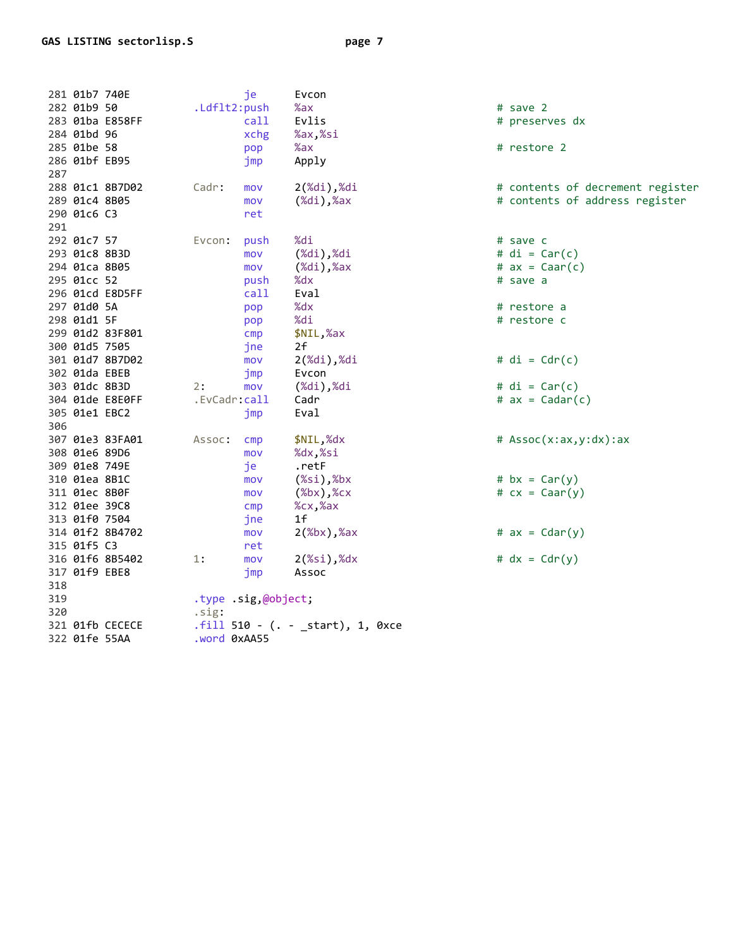| 287               | 281 01b7 740E<br>282 01b9 50<br>284 01bd 96<br>285 01be 58<br>286 01bf EB95                                                                   | 283 01ba E858FF                                       | .Ldflt2:push                | je<br>call<br>xchg<br>pop<br>jmp                                                               | Evcon<br>%ax<br>Evlis<br>%ax,%si<br>%ax<br>Apply                                                                                              | # save 2<br># preserves dx<br># restore 2                                                                                      |
|-------------------|-----------------------------------------------------------------------------------------------------------------------------------------------|-------------------------------------------------------|-----------------------------|------------------------------------------------------------------------------------------------|-----------------------------------------------------------------------------------------------------------------------------------------------|--------------------------------------------------------------------------------------------------------------------------------|
| 291               | 289 01c4 8B05<br>290 01c6 C3                                                                                                                  | 288 01c1 8B7D02                                       | Cadr:                       | mov<br>mov<br>ret                                                                              | $2(\%di)$ , $\%di$<br>$(\%di)$ , $\%ax$                                                                                                       | # contents of decrement register<br># contents of address register                                                             |
|                   | 292 01c7 57<br>293 01c8 8B3D<br>294 01ca 8B05<br>295 01cc 52<br>297 01d0 5A<br>298 01d1 5F<br>300 01d5 7505<br>302 01da EBEB<br>303 01dc 8B3D | 296 01cd E8D5FF<br>299 01d2 83F801<br>301 01d7 8B7D02 | Evcon:<br>2:                | push<br>mov<br>mov<br>push<br>call<br>pop<br>pop<br>$\mathsf{cmp}$<br>jne<br>mov<br>jmp<br>mov | %di<br>$(\%di)$ , $\%di$<br>$(\%di)$ , $\%ax$<br>%dx<br>Eval<br>%dx<br>%di<br>\$NIL,%ax<br>2f<br>$2(\%di)$ , $\%di$<br>Evcon<br>$(\%di),\%di$ | # save c<br># $di = Car(c)$<br># $ax = Can(c)$<br># save a<br># restore a<br># restore c<br># $di = Cdr(c)$<br># $di = Car(c)$ |
| 306               | 305 01e1 EBC2                                                                                                                                 | 304 01de E8E0FF                                       | .EvCadr:call                | jmp                                                                                            | Cadr<br>Eval                                                                                                                                  | # $ax = Cadar(c)$                                                                                                              |
|                   | 308 01e6 89D6<br>309 01e8 749E<br>310 01ea 8B1C<br>311 01ec 8B0F<br>312 01ee 39C8<br>313 01f0 7504<br>315 01f5 C3                             | 307 01e3 83FA01<br>314 01f2 8B4702                    | Assoc:                      | cmp<br>mov<br>je<br>mov<br>mov<br>cmp<br>jne<br>mov<br>ret                                     | \$NIL,%dx<br>%dx,%si<br>.retF<br>$(% \mathbb{R}^2)$ $,\mathbb{R}$ bx<br>(%<br>%cx,%ax<br>1 <sub>f</sub><br>$2$ (%bx),%ax                      | # $Assoc(x:ax,y:dx):ax$<br># $bx = Car(y)$<br># $cx = Caar(y)$<br># $ax = \text{Cdar}(y)$                                      |
| 318<br>319<br>320 | 317 01f9 EBE8<br>322 01fe 55AA                                                                                                                | 316 01f6 8B5402<br>321 01fb CECECE                    | 1:<br>.sig:<br>.word 0xAA55 | mov<br>jmp<br>.type .sig,@object;                                                              | 2(% )<br>Assoc<br>$.fill 510 - (. - _start), 1, 0xce$                                                                                         | # $dx = Cdr(y)$                                                                                                                |